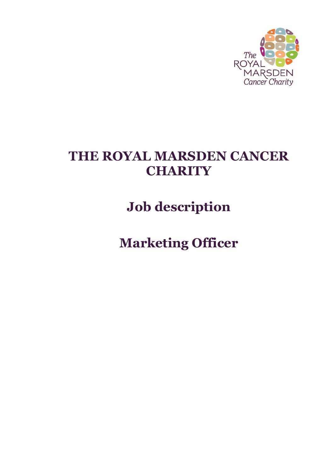

# **THE ROYAL MARSDEN CANCER CHARITY**

**Job description**

**Marketing Officer**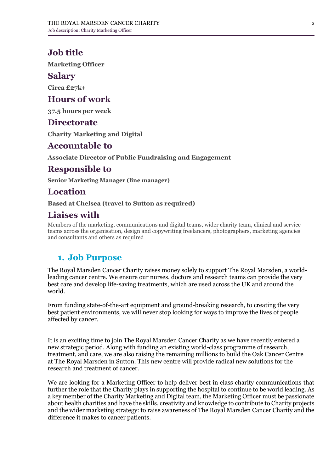# **Job title**

**Marketing Officer**

### **Salary**

**Circa £27k+**

## **Hours of work**

**37.5 hours per week**

## **Directorate**

**Charity Marketing and Digital**

### **Accountable to**

**Associate Director of Public Fundraising and Engagement**

# **Responsible to**

**Senior Marketing Manager (line manager)**

# **Location**

**Based at Chelsea (travel to Sutton as required)**

# **Liaises with**

Members of the marketing, communications and digital teams, wider charity team, clinical and service teams across the organisation, design and copywriting freelancers, photographers, marketing agencies and consultants and others as required

# **1. Job Purpose**

The Royal Marsden Cancer Charity raises money solely to support The Royal Marsden, a worldleading cancer centre. We ensure our nurses, doctors and research teams can provide the very best care and develop life-saving treatments, which are used across the UK and around the world.

From funding state-of-the-art equipment and ground-breaking research, to creating the very best patient environments, we will never stop looking for ways to improve the lives of people affected by cancer.

It is an exciting time to join The Royal Marsden Cancer Charity as we have recently entered a new strategic period. Along with funding an existing world-class programme of research, treatment, and care, we are also raising the remaining millions to build the Oak Cancer Centre at The Royal Marsden in Sutton. This new centre will provide radical new solutions for the research and treatment of cancer.

We are looking for a Marketing Officer to help deliver best in class charity communications that further the role that the Charity plays in supporting the hospital to continue to be world leading. As a key member of the Charity Marketing and Digital team, the Marketing Officer must be passionate about health charities and have the skills, creativity and knowledge to contribute to Charity projects and the wider marketing strategy: to raise awareness of The Royal Marsden Cancer Charity and the difference it makes to cancer patients.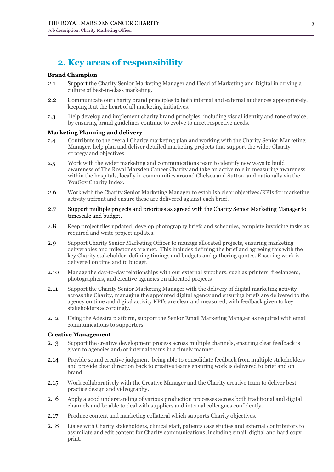# **2. Key areas of responsibility**

#### **Brand Champion**

- 2.1 Support the Charity Senior Marketing Manager and Head of Marketing and Digital in driving a culture of best-in-class marketing.
- 2.2 Communicate our charity brand principles to both internal and external audiences appropriately, keeping it at the heart of all marketing initiatives.
- 2.3 Help develop and implement charity brand principles, including visual identity and tone of voice, by ensuring brand guidelines continue to evolve to meet respective needs.

#### **Marketing Planning and delivery**

- 2.4 Contribute to the overall Charity marketing plan and working with the Charity Senior Marketing Manager, help plan and deliver detailed marketing projects that support the wider Charity strategy and objectives.
- 2.5 Work with the wider marketing and communications team to identify new ways to build awareness of The Royal Marsden Cancer Charity and take an active role in measuring awareness within the hospitals, locally in communities around Chelsea and Sutton, and nationally via the YouGov Charity Index.
- 2.6 Work with the Charity Senior Marketing Manager to establish clear objectives/KPIs for marketing activity upfront and ensure these are delivered against each brief.
- 2.7 Support multiple projects and priorities as agreed with the Charity Senior Marketing Manager to timescale and budget.
- 2.8 Keep project files updated, develop photography briefs and schedules, complete invoicing tasks as required and write project updates.
- 2.9 Support Charity Senior Marketing Officer to manage allocated projects, ensuring marketing deliverables and milestones are met. This includes defining the brief and agreeing this with the key Charity stakeholder, defining timings and budgets and gathering quotes. Ensuring work is delivered on time and to budget.
- 2.10 Manage the day-to-day relationships with our external suppliers, such as printers, freelancers, photographers, and creative agencies on allocated projects
- 2.11 Support the Charity Senior Marketing Manager with the delivery of digital marketing activity across the Charity, managing the appointed digital agency and ensuring briefs are delivered to the agency on time and digital activity KPI's are clear and measured, with feedback given to key stakeholders accordingly.
- 2.12 Using the Adestra platform, support the Senior Email Marketing Manager as required with email communications to supporters.

#### **Creative Management**

- 2.13 Support the creative development process across multiple channels, ensuring clear feedback is given to agencies and/or internal teams in a timely manner.
- 2.14 Provide sound creative judgment, being able to consolidate feedback from multiple stakeholders and provide clear direction back to creative teams ensuring work is delivered to brief and on brand.
- 2.15 Work collaboratively with the Creative Manager and the Charity creative team to deliver best practice design and videography.
- 2.16 Apply a good understanding of various production processes across both traditional and digital channels and be able to deal with suppliers and internal colleagues confidently.
- 2.17 Produce content and marketing collateral which supports Charity objectives.
- 2.18 Liaise with Charity stakeholders, clinical staff, patients case studies and external contributors to assimilate and edit content for Charity communications, including email, digital and hard copy print.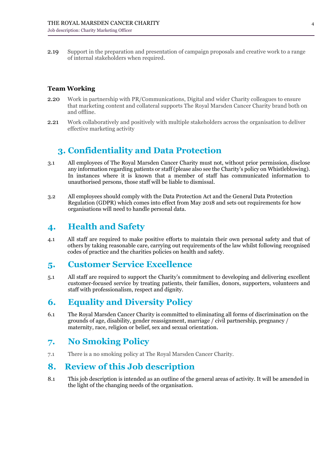2.19 Support in the preparation and presentation of campaign proposals and creative work to a range of internal stakeholders when required.

#### **Team Working**

- 2.20 Work in partnership with PR/Communications, Digital and wider Charity colleagues to ensure that marketing content and collateral supports The Royal Marsden Cancer Charity brand both on and offline.
- 2.21 Work collaboratively and positively with multiple stakeholders across the organisation to deliver effective marketing activity

# **3. Confidentiality and Data Protection**

- 3.1 All employees of The Royal Marsden Cancer Charity must not, without prior permission, disclose any information regarding patients or staff (please also see the Charity's policy on Whistleblowing). In instances where it is known that a member of staff has communicated information to unauthorised persons, those staff will be liable to dismissal.
- 3.2 All employees should comply with the Data Protection Act and the General Data Protection Regulation (GDPR) which comes into effect from May 2018 and sets out requirements for how organisations will need to handle personal data.

## **4. Health and Safety**

4.1 All staff are required to make positive efforts to maintain their own personal safety and that of others by taking reasonable care, carrying out requirements of the law whilst following recognised codes of practice and the charities policies on health and safety.

### **5. Customer Service Excellence**

5.1 All staff are required to support the Charity's commitment to developing and delivering excellent customer-focused service by treating patients, their families, donors, supporters, volunteers and staff with professionalism, respect and dignity.

## **6. Equality and Diversity Policy**

6.1 The Royal Marsden Cancer Charity is committed to eliminating all forms of discrimination on the grounds of age, disability, gender reassignment, marriage / civil partnership, pregnancy / maternity, race, religion or belief, sex and sexual orientation.

# **7. No Smoking Policy**

7.1 There is a no smoking policy at The Royal Marsden Cancer Charity.

# **8. Review of this Job description**

8.1 This job description is intended as an outline of the general areas of activity. It will be amended in the light of the changing needs of the organisation.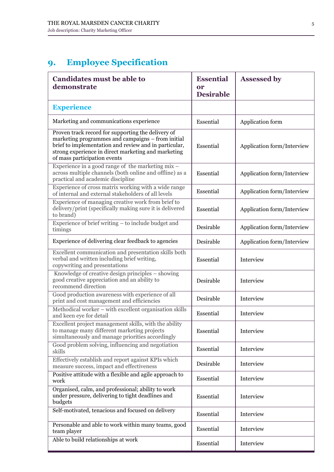# **9. Employee Specification**

| <b>Candidates must be able to</b><br>demonstrate                                                                                                                                                                                                        | <b>Essential</b><br>or<br><b>Desirable</b> | <b>Assessed by</b>         |
|---------------------------------------------------------------------------------------------------------------------------------------------------------------------------------------------------------------------------------------------------------|--------------------------------------------|----------------------------|
| <b>Experience</b>                                                                                                                                                                                                                                       |                                            |                            |
| Marketing and communications experience                                                                                                                                                                                                                 | Essential                                  | Application form           |
| Proven track record for supporting the delivery of<br>marketing programmes and campaigns – from initial<br>brief to implementation and review and in particular,<br>strong experience in direct marketing and marketing<br>of mass participation events | Essential                                  | Application form/Interview |
| Experience in a good range of the marketing mix -<br>across multiple channels (both online and offline) as a<br>practical and academic discipline                                                                                                       | Essential                                  | Application form/Interview |
| Experience of cross matrix working with a wide range<br>of internal and external stakeholders of all levels                                                                                                                                             | Essential                                  | Application form/Interview |
| Experience of managing creative work from brief to<br>delivery/print (specifically making sure it is delivered<br>to brand)                                                                                                                             | Essential                                  | Application form/Interview |
| Experience of brief writing $-$ to include budget and<br>timings                                                                                                                                                                                        | Desirable                                  | Application form/Interview |
| Experience of delivering clear feedback to agencies                                                                                                                                                                                                     | Desirable                                  | Application form/Interview |
| Excellent communication and presentation skills both<br>verbal and written including brief writing,<br>copywriting and presentations                                                                                                                    | Essential                                  | Interview                  |
| Knowledge of creative design principles – showing<br>good creative appreciation and an ability to<br>recommend direction                                                                                                                                | Desirable                                  | Interview                  |
| Good production awareness with experience of all<br>print and cost management and efficiencies                                                                                                                                                          | Desirable                                  | Interview                  |
| Methodical worker - with excellent organisation skills<br>and keen eye for detail                                                                                                                                                                       | Essential                                  | Interview                  |
| Excellent project management skills, with the ability<br>to manage many different marketing projects<br>simultaneously and manage priorities accordingly                                                                                                | Essential                                  | Interview                  |
| Good problem solving, influencing and negotiation<br>skills                                                                                                                                                                                             | Essential                                  | Interview                  |
| Effectively establish and report against KPIs which<br>measure success, impact and effectiveness                                                                                                                                                        | Desirable                                  | Interview                  |
| Positive attitude with a flexible and agile approach to<br>work                                                                                                                                                                                         | Essential                                  | Interview                  |
| Organised, calm, and professional; ability to work<br>under pressure, delivering to tight deadlines and<br>budgets                                                                                                                                      | Essential                                  | Interview                  |
| Self-motivated, tenacious and focused on delivery                                                                                                                                                                                                       | Essential                                  | Interview                  |
| Personable and able to work within many teams, good<br>team player                                                                                                                                                                                      | Essential                                  | Interview                  |
| Able to build relationships at work                                                                                                                                                                                                                     | Essential                                  | Interview                  |